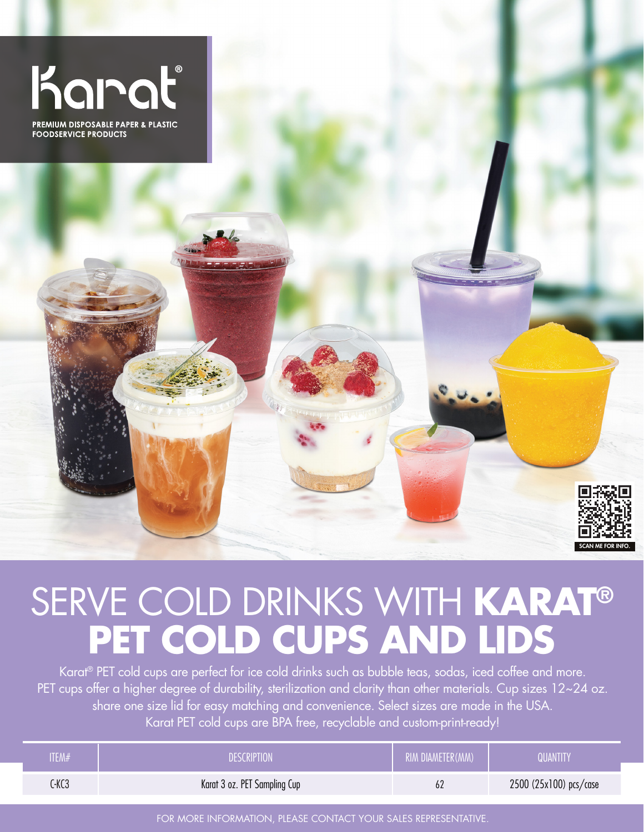



## SERVE COLD DRINKS WITH **KARAT® PET COLD CUPS AND LIDS**

Karat® PET cold cups are perfect for ice cold drinks such as bubble teas, sodas, iced coffee and more. PET cups offer a higher degree of durability, sterilization and clarity than other materials. Cup sizes 12~24 oz. share one size lid for easy matching and convenience. Select sizes are made in the USA. Karat PET cold cups are BPA free, recyclable and custom-print-ready!

| ITEM# | DESCRIPTION                  | RIM DIAMETER(MM) | QUANTITY               |
|-------|------------------------------|------------------|------------------------|
| C-KC3 | Karat 3 oz. PET Sampling Cup | 62               | 2500 (25x100) pcs/case |

FOR MORE INFORMATION, PLEASE CONTACT YOUR SALES REPRESENTATIVE.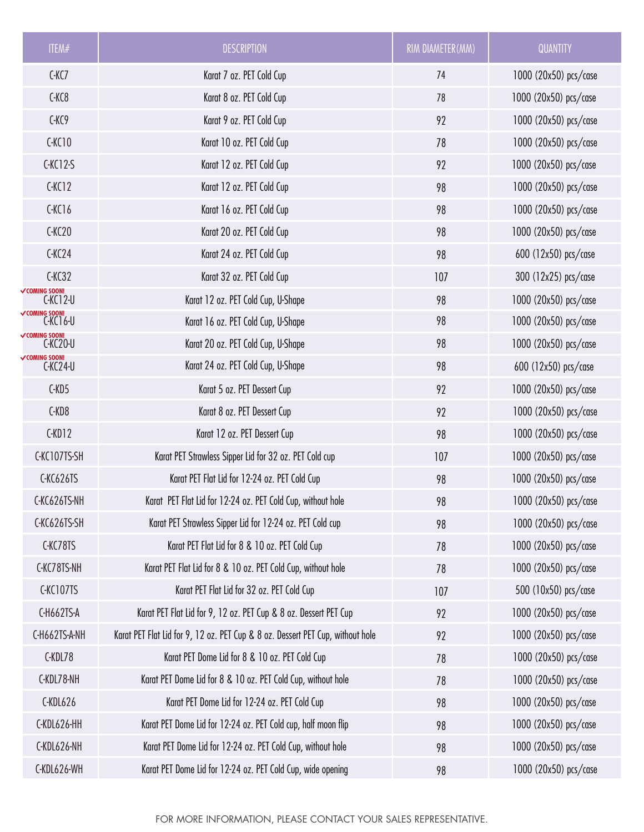| ITEM#                              | <b>DESCRIPTION</b>                                                             | RIM DIAMETER(MM) | <b>QUANTITY</b>       |
|------------------------------------|--------------------------------------------------------------------------------|------------------|-----------------------|
| $C-KC7$                            | Karat 7 oz. PET Cold Cup                                                       | 74               | 1000 (20x50) pcs/case |
| C-KC8                              | Karat 8 oz. PET Cold Cup                                                       | 78               | 1000 (20x50) pcs/case |
| C-KC9                              | Karat 9 oz. PET Cold Cup                                                       | 92               | 1000 (20x50) pcs/case |
| CKC10                              | Karat 10 oz. PET Cold Cup                                                      | 78               | 1000 (20x50) pcs/case |
| $C-KC12-S$                         | Karat 12 oz. PET Cold Cup                                                      | 92               | 1000 (20x50) pcs/case |
| CKC12                              | Karat 12 oz. PET Cold Cup                                                      | 98               | 1000 (20x50) pcs/case |
| CKC16                              | Karat 16 oz. PET Cold Cup                                                      | 98               | 1000 (20x50) pcs/case |
| C-KC20                             | Karat 20 oz. PET Cold Cup                                                      | 98               | 1000 (20x50) pcs/case |
| CKC24                              | Karat 24 oz. PET Cold Cup                                                      | 98               | 600 (12x50) pcs/case  |
| $C-KC32$                           | Karat 32 oz. PET Cold Cup                                                      | 107              | 300 (12x25) pcs/case  |
| <b>√COMING SOON!</b><br>$C-KC12-U$ | Karat 12 oz. PET Cold Cup, U-Shape                                             | 98               | 1000 (20x50) pcs/case |
| oming soon!<br>C-KC16-U            | Karat 16 oz. PET Cold Cup, U-Shape                                             | 98               | 1000 (20x50) pcs/case |
| <b>VCOMING SOON!</b><br>C-KC20-U   | Karat 20 oz. PET Cold Cup, U-Shape                                             | 98               | 1000 (20x50) pcs/case |
| C-KC24-U∽<br>C-KC24-U              | Karat 24 oz. PET Cold Cup, U-Shape                                             | 98               | 600 (12x50) pcs/case  |
| C-KD5                              | Karat 5 oz. PET Dessert Cup                                                    | 92               | 1000 (20x50) pcs/case |
| C-KD8                              | Karat 8 oz. PET Dessert Cup                                                    | 92               | 1000 (20x50) pcs/case |
| C-KD12                             | Karat 12 oz. PET Dessert Cup                                                   | 98               | 1000 (20x50) pcs/case |
| C-KC107TS-SH                       | Karat PET Strawless Sipper Lid for 32 oz. PET Cold cup                         | 107              | 1000 (20x50) pcs/case |
| C-KC626TS                          | Karat PET Flat Lid for 12-24 oz. PET Cold Cup                                  | 98               | 1000 (20x50) pcs/case |
| C-KC626TS-NH                       | Karat PET Flat Lid for 12-24 oz. PET Cold Cup, without hole                    | 98               | 1000 (20x50) pcs/case |
| C-KC626TS-SH                       | Karat PET Strawless Sipper Lid for 12-24 oz. PET Cold cup                      | 98               | 1000 (20x50) pcs/case |
| C-KC78TS                           | Karat PET Flat Lid for 8 & 10 oz. PET Cold Cup                                 | 78               | 1000 (20x50) pcs/case |
| C-KC78TS-NH                        | Karat PET Flat Lid for 8 & 10 oz. PET Cold Cup, without hole                   | 78               | 1000 (20x50) pcs/case |
| C-KC107TS                          | Karat PET Flat Lid for 32 oz. PET Cold Cup                                     | 107              | 500 (10x50) pcs/case  |
| C-H662TS-A                         | Karat PET Flat Lid for 9, 12 oz. PET Cup & 8 oz. Dessert PET Cup               | 92               | 1000 (20x50) pcs/case |
| C-H662TS-A-NH                      | Karat PET Flat Lid for 9, 12 oz. PET Cup & 8 oz. Dessert PET Cup, without hole | 92               | 1000 (20x50) pcs/case |
| C-KDL78                            | Karat PET Dome Lid for 8 & 10 oz. PET Cold Cup                                 | 78               | 1000 (20x50) pcs/case |
| C-KDL78-NH                         | Karat PET Dome Lid for 8 & 10 oz. PET Cold Cup, without hole                   | 78               | 1000 (20x50) pcs/case |
| C-KDL626                           | Karat PET Dome Lid for 12-24 oz. PET Cold Cup                                  | 98               | 1000 (20x50) pcs/case |
| C-KDL626-HH                        | Karat PET Dome Lid for 12-24 oz. PET Cold cup, half moon flip                  | 98               | 1000 (20x50) pcs/case |
| C-KDL626-NH                        | Karat PET Dome Lid for 12-24 oz. PET Cold Cup, without hole                    | 98               | 1000 (20x50) pcs/case |
| C-KDL626-WH                        | Karat PET Dome Lid for 12-24 oz. PET Cold Cup, wide opening                    | 98               | 1000 (20x50) pcs/case |